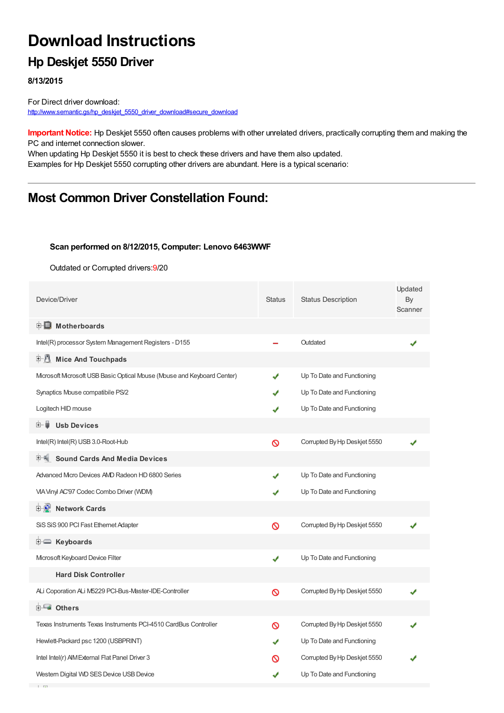# **Download Instructions**

## **Hp Deskjet 5550 Driver**

**8/13/2015**

**Contractor** 

For Direct driver download: [http://www.semantic.gs/hp\\_deskjet\\_5550\\_driver\\_download#secure\\_download](http://www.semantic.gs/hp_deskjet_5550_driver_download#secure_download)

**Important Notice:** Hp Deskjet 5550 often causes problems with other unrelated drivers, practically corrupting them and making the PC and internet connection slower.

When updating Hp Deskjet 5550 it is best to check these drivers and have them also updated. Examples for Hp Deskjet 5550 corrupting other drivers are abundant. Here is a typical scenario:

## **Most Common Driver Constellation Found:**

#### **Scan performed on 8/12/2015, Computer: Lenovo 6463WWF**

Outdated or Corrupted drivers:9/20

| Device/Driver                                                         | <b>Status</b> | <b>Status Description</b>    | Updated<br>By<br>Scanner |
|-----------------------------------------------------------------------|---------------|------------------------------|--------------------------|
| <b>E</b> Motherboards                                                 |               |                              |                          |
| Intel(R) processor System Management Registers - D155                 |               | Outdated                     |                          |
| <b>E-8</b><br><b>Mice And Touchpads</b>                               |               |                              |                          |
| Mcrosoft Mcrosoft USB Basic Optical Mouse (Mouse and Keyboard Center) | ✔             | Up To Date and Functioning   |                          |
| Synaptics Mouse compatibile PS/2                                      | J             | Up To Date and Functioning   |                          |
| Logitech HID mouse                                                    | J             | Up To Date and Functioning   |                          |
| <b>Usb Devices</b><br>⊞… ■                                            |               |                              |                          |
| Intel(R) Intel(R) USB 3.0-Root-Hub                                    | Ø             | Corrupted By Hp Deskjet 5550 |                          |
| <b>Sound Cards And Media Devices</b>                                  |               |                              |                          |
| Advanced Micro Devices AMD Radeon HD 6800 Series                      |               | Up To Date and Functioning   |                          |
| VIA Vinyl AC'97 Codec Combo Driver (WDM)                              |               | Up To Date and Functioning   |                          |
| <b>E-2</b> Network Cards                                              |               |                              |                          |
| SiS SiS 900 PCI Fast Ethernet Adapter                                 | Ø             | Corrupted By Hp Deskjet 5550 |                          |
| <b>E</b> Keyboards                                                    |               |                              |                          |
| Microsoft Keyboard Device Filter                                      | ✔             | Up To Date and Functioning   |                          |
| <b>Hard Disk Controller</b>                                           |               |                              |                          |
| ALi Coporation ALi M5229 PCI-Bus-Master-IDE-Controller                | Ø             | Corrupted By Hp Deskjet 5550 |                          |
| 由 <b>Lu</b> Others                                                    |               |                              |                          |
| Texas Instruments Texas Instruments PCI-4510 CardBus Controller       | ര             | Corrupted By Hp Deskjet 5550 |                          |
| Hewlett-Packard psc 1200 (USBPRINT)                                   |               | Up To Date and Functioning   |                          |
| Intel Intel(r) AIM External Flat Panel Driver 3                       | ര             | Corrupted By Hp Deskjet 5550 |                          |
| Western Digital WD SES Device USB Device                              | ✔             | Up To Date and Functioning   |                          |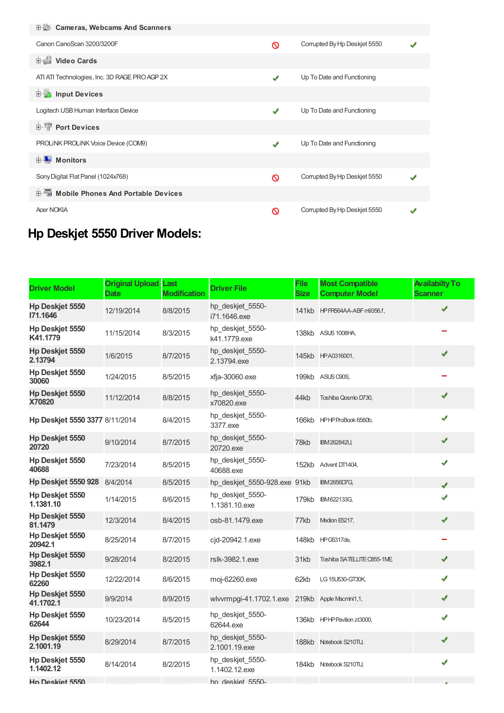| 电缆 Cameras, Webcams And Scanners              |   |                              |  |
|-----------------------------------------------|---|------------------------------|--|
| Canon CanoScan 3200/3200F                     | Ø | Corrupted By Hp Deskjet 5550 |  |
| <b>Dideo Cards</b>                            |   |                              |  |
| ATI ATI Technologies, Inc. 3D RAGE PRO AGP 2X | ✔ | Up To Date and Functioning   |  |
| <b>E</b> Input Devices                        |   |                              |  |
| Logitech USB Human Interface Device           | ✔ | Up To Date and Functioning   |  |
| <b>E-TP</b> Port Devices                      |   |                              |  |
| PROLINK PROLINK Voice Device (COM9)           | ✔ | Up To Date and Functioning   |  |
| <b>E</b> Monitors                             |   |                              |  |
| Sony Digital Flat Panel (1024x768)            | ര | Corrupted By Hp Deskjet 5550 |  |
| 白面 Mobile Phones And Portable Devices         |   |                              |  |
| <b>Acer NOKIA</b>                             | ∾ | Corrupted By Hp Deskjet 5550 |  |

## **Hp Deskjet 5550 Driver Models:**

| <b>Driver Model</b>                 | <b>Original Upload</b><br><b>Date</b> | Last<br><b>Modification</b> | <b>Driver File</b>                | <b>File</b><br><b>Size</b> | <b>Most Compatible</b><br><b>Computer Model</b> | <b>Availabilty To</b><br><b>Scanner</b> |
|-------------------------------------|---------------------------------------|-----------------------------|-----------------------------------|----------------------------|-------------------------------------------------|-----------------------------------------|
| <b>Hp Deskiet 5550</b><br>171.1646  | 12/19/2014                            | 8/8/2015                    | hp deskjet 5550-<br>i71.1646.exe  |                            | 141kb HPFR564AA-ABF m9356.f,                    | ✔                                       |
| Hp Deskjet 5550<br>K41.1779         | 11/15/2014                            | 8/3/2015                    | hp deskjet 5550-<br>k41.1779.exe  | 138kb                      | <b>ASUS 1008HA,</b>                             |                                         |
| <b>Hp Deskjet 5550</b><br>2.13794   | 1/6/2015                              | 8/7/2015                    | hp_deskjet_5550-<br>2.13794.exe   |                            | 145kb HPA0316001,                               | ✔                                       |
| Hp Deskjet 5550<br>30060            | 1/24/2015                             | 8/5/2015                    | xfja-30060.exe                    | 199kb                      | ASUS C90S,                                      |                                         |
| <b>Hp Deskjet 5550</b><br>X70820    | 11/12/2014                            | 8/8/2015                    | hp deskjet 5550-<br>x70820.exe    | 44kb                       | Toshiba Qosmio D730.                            | ✔                                       |
| Hp Deskjet 5550 3377 8/11/2014      |                                       | 8/4/2015                    | hp deskjet 5550-<br>3377.exe      | 166kb                      | HPHP ProBook 6560b.                             | ✔                                       |
| <b>Hp Deskjet 5550</b><br>20720     | 9/10/2014                             | 8/7/2015                    | hp_deskjet_5550-<br>20720.exe     | 78kb                       | IBM 262842U,                                    | ✔                                       |
| Hp Deskjet 5550<br>40688            | 7/23/2014                             | 8/5/2015                    | hp_deskjet_5550-<br>40688.exe     | 152kb                      | Advent DT1404,                                  | ✔                                       |
| <b>Hp Deskjet 5550 928</b>          | 8/4/2014                              | 8/5/2015                    | hp deskjet 5550-928.exe 91kb      |                            | <b>IBM2656D7G,</b>                              | J                                       |
| <b>Hp Deskiet 5550</b><br>1.1381.10 | 1/14/2015                             | 8/6/2015                    | hp deskjet 5550-<br>1.1381.10.exe | 179kb                      | IBM622133G,                                     |                                         |
| Hp Deskjet 5550<br>81.1479          | 12/3/2014                             | 8/4/2015                    | osb-81.1479.exe                   | 77kb                       | Medion E5217,                                   | ✔                                       |
| Hp Deskjet 5550<br>20942.1          | 8/25/2014                             | 8/7/2015                    | cjd-20942.1.exe                   | 148kb                      | <b>HPG5317de,</b>                               |                                         |
| <b>Hp Deskjet 5550</b><br>3982.1    | 9/28/2014                             | 8/2/2015                    | rslk-3982.1.exe                   | 31kb                       | Toshiba SATELLITE C855-1ME,                     | ✔                                       |
| Hp Deskjet 5550<br>62260            | 12/22/2014                            | 8/6/2015                    | moj-62260.exe                     | 62kb                       | LG 15U530-GT30K,                                | ✔                                       |
| <b>Hp Deskjet 5550</b><br>41.1702.1 | 9/9/2014                              | 8/9/2015                    | wlvvrmpgi-41.1702.1.exe           | 219kb                      | Apple Macmini1,1,                               | ✔                                       |
| Hp Deskjet 5550<br>62644            | 10/23/2014                            | 8/5/2015                    | hp deskjet 5550-<br>62644.exe     | 136kb                      | HPHP Pavilion zt3000,                           | ✔                                       |
| Hp Deskjet 5550<br>2.1001.19        | 8/29/2014                             | 8/7/2015                    | hp_deskjet_5550-<br>2.1001.19.exe | 188kb                      | Notebook S210TU,                                | ✔                                       |
| Hp Deskjet 5550<br>1.1402.12        | 8/14/2014                             | 8/2/2015                    | hp_deskjet_5550-<br>1.1402.12.exe | 184kb                      | Notebook S210TU,                                | J                                       |
| <b>Hn Deskiet 5550</b>              |                                       |                             | hn deskiet 5550-                  |                            |                                                 |                                         |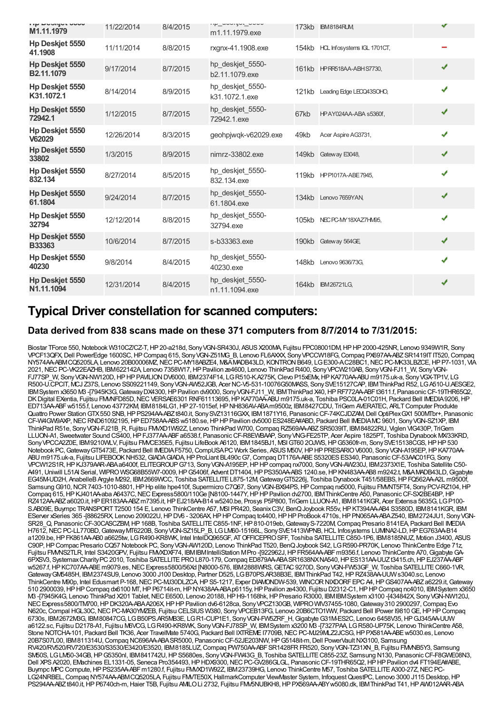| <b>TIP DOUGLOUD</b><br>M1.11.1979    | 11/22/2014 | 8/4/2015 | TIP UUUIYUL UUUU<br>m1.11.1979.exe | 173kb | <b>IBM8184RUM</b>           | J |  |
|--------------------------------------|------------|----------|------------------------------------|-------|-----------------------------|---|--|
| Hp Deskjet 5550<br>41.1908           | 11/11/2014 | 8/8/2015 | rxgnx-41.1908.exe                  | 154kb | HCL Infosystems IGL 1701CT, |   |  |
| Hp Deskjet 5550<br>B2.11.1079        | 9/17/2014  | 8/7/2015 | hp deskjet 5550-<br>b2.11.1079.exe |       | 161kb HPRF618AA-ABH S7730,  | ✔ |  |
| Hp Deskjet 5550<br>K31.1072.1        | 8/14/2014  | 8/9/2015 | hp_deskjet_5550-<br>k31.1072.1.exe | 121kb | Leading Edge LEOQ43SOHO,    | J |  |
| Hp Deskjet 5550<br>72942.1           | 1/12/2015  | 8/7/2015 | hp_deskjet_5550-<br>72942.1.exe    | 67kb  | HPAY024AA-ABA s5360f,       | ✔ |  |
| Hp Deskjet 5550<br>V62029            | 12/26/2014 | 8/3/2015 | geohpjwgk-v62029.exe               | 49kb  | Acer Aspire AG3731,         | ✔ |  |
| Hp Deskjet 5550<br>33802             | 1/3/2015   | 8/9/2015 | nimrz-33802.exe                    | 149kb | Gateway E3048,              | ✔ |  |
| Hp Deskjet 5550<br>832.134           | 8/27/2014  | 8/5/2015 | hp_deskjet_5550-<br>832.134.exe    |       | 119kb HPP1017A-ABE7945.     | ✔ |  |
| Hp Deskjet 5550<br>61.1804           | 9/24/2014  | 8/7/2015 | hp deskjet 5550-<br>61.1804.exe    |       | 134kb Lenovo 7659YAN,       | ✔ |  |
| Hp Deskjet 5550<br>32794             | 12/12/2014 | 8/8/2015 | hp_deskjet_5550-<br>32794.exe      |       | 105kb NEC PC-MY18XAZ7HM95,  | ✔ |  |
| Hp Deskjet 5550<br><b>B33363</b>     | 10/6/2014  | 8/7/2015 | s-b33363.exe                       |       | 190kb Gateway 564GE         | ✔ |  |
| Hp Deskjet 5550<br>40230             | 9/8/2014   | 8/4/2015 | hp deskjet 5550-<br>40230.exe      | 148kb | Lenovo 9636/73G,            | ✔ |  |
| <b>Hp Deskiet 5550</b><br>N1.11.1094 | 12/31/2014 | 8/4/2015 | hp_deskjet_5550-<br>n1.11.1094.exe | 164kb | <b>IBM26721LG,</b>          | ✔ |  |

### **Typical Driver constellation for scanned computers:**

### **Data derived from 838 scans made on these 371 computers from 8/7/2014 to 7/31/2015:**

Biostar TForce 550, Notebook W310CZ/CZ-T, HP 20-a218d, Sony VGN-SR430J, ASUS X200MA, Fujitsu FPC08001DM, HP HP 2000-425NR, Lenovo 9349W1R, Sony VPCF13QFX,Dell PowerEdge 1600SC,HPCompaq 615, SonyVGN-Z51MG\_B, Lenovo FL6AXXX, SonyVPCCW18FG,Compaq PX697AA-ABZSR1419ITIT520,Compaq NY574AA-ABMCQ5205LA, Lenovo 20B00006MZ, NEC PC-MY18ABZE4, M&AMADB43LD, KONTRON B649, LGE300-AC28BC1, NEC PC-MK33LBZCE, HP P7-1031, VIA 2021,NECPC-VK22EAZHB, IBM622142A, Lenovo 7358W17,HPPavilion ze4600, Lenovo ThinkPad R400, SonyVPCW210AB, SonyVGN-FJ11\_W, SonyVGN-FJ77SP\_W, SonyVGN-NW120D,HPHPPAVILIONDV6000, IBM2374F14, LGR510-K.A275K,Clevo P15xEMx,HPKA770AA-ABU m9175.uk-a, SonyVGX-TP1V, LG R500-U.CPCIT, MCJ Z37S, Lenovo SS09221149, SonyVGN-AW52JGB, Acer NC-V5-531-10076G50MASS, SonySVE15127CAP, IBMThinkPad R52, LGA510-U.AESGE2, IBMSystem x3650 M3 -[7945K3G,GatewayDX4300,HPPavilion dv9000, SonyVGN-FJ11\_W, IBMThinkPad X40,HPRF772AA-ABFt3611.f, PanasonicCF-19THR65Q2, DK Digital EXentia, Fujitsu FMMFD85D, NEC VERSAE6301 RNF61113695, HP KA770AA-ABU m9175.uk-a, Toshiba PSC0LA-01C01H, Packard Bell IMEDIA 9206, HP ED713AA-ABFw5155.f, Lenovo 43772KM, IBM8184LG1,HP27-1015ef,HPNH836AV-ABAm9500z, IBM8427CDU, TriGem AVERATEC, ARLTComputer Produkte Quattro Power StationGTX550 SNB,HPPS294AA-ABZt840.it, SonySVZ13116GXX, IBM1871Y16, PanasonicCF-74KCJDZAM,Dell OptiPlexGX1 500MTbr+, Panasonic CF-W4GW9AXP,NECRND61092195,HPED758AA-ABSw5180.se,HPHPPavilion dv5000 ES248EA#ABD, Packard Bell IMEDIAMC9601, SonyVGN-SZ1XP, IBM ThinkPad R51e, SonyVGN-FJ21B\_R, Fujitsu FMVXD1W92Z, Lenovo ThinkPad W700,Compaq RZ569AA-ABZSR5039IT, IBM84822RU, Viglen VIG430P, TriGem LLUON-A1, Sweetwater Sound CS400, HP FJ377AA-ABF a6538.f, Panasonic CF-R8EWBAAP, Sony VNG-FE25TP, Acer Aspire 1825PT, Toshiba Dynabook MX/33KRD, SonyVPCCA2Z0E, IBM9210WLV, Fujitsu FMVCE35E5, Fujitsu LifeBook A6120, IBM1845BJ1, MSIGT60 2OJWS,HPG5360fr-m, SonySVE15138CGS,HPHP530 Notebook PC, Gateway GT5473E, Packard Bell IMEDIA F5750, CompUSA PC Work Series, ASUS M50V, HP HP PRESARIO V6000, Sony VGN-A195EP, HP KA770AA-ABU m9175.uk-a, Fujitsu LIFEBOOKNH532,GIADAGIADA,HPProLiant BL490cG7,Compaq DT176A-ABES5320ESES340, PanasonicCF-53AAC01FG, Sony VPCW12S1R,HPKJ379AAR-ABAa6400f, ELITEGROUPG713, SonyVGN-A195EP,HPHPcompaq nx7000, SonyVGN-AW230J, IBM2373X1E, Toshiba Satellite C50- A491,Uniwill L51AI Serial, WIPROWSG68B55W7-0009,HPG5406f, AdventDT1404,HPPS350AA-ABS1240.se,HPKN483AA-AB8 m9242.t, M&AMADB43LD,Gigabyte EG45M-UD2H, AnabelleBArgyle M292, IBM2669WCC, Toshiba SATELLITEL875-12M,GatewayGT5226j, Toshiba Dynabook T451/58EBS,HPFQ562AA-A2L m9500f, Samsung G910, NCR 7403-1010-8801, HP Hp elite hpe410f, Supermicro C7Q67, Sony VGN-BX94PS, HP Compaq nx5000, Fujitsu FMMT5FT4, Sony PCV-RZ104, HP Compaq 615, HP KJ401AA-aba A6437C, NEC Express5800/110Ge [N8100-1447Y, HP HP Pavilion dv2700, IBM ThinkCentre A50, Panasonic CF-SX2BE4BP, HP RZ412AA-ABZa6020.it,HPER183AA-ABZm7395.it,HPEJ218AA-B14 w5240.be, Prosys P5P800, TriGem LLUON-A1, IBM8141KGR, Acer Extensa 5635G, LGP100- S.AB09E, Buympc TRANSPORT T2500 154 E, Lenovo ThinkCentre A57, MSI PR420, Seanix C3V, BenQ Joybook R55v, HP KT394AA-AB4 S3580D, IBM8141KGR, IBM EServer xSeries 365 -[88625RX, Lenovo 209022U,HPDV6 - 3206AX,HPHPCompaq tc4400,HPHPProBook 4710s,HPPN065AA-ABAZ540, IBM2724JU1, SonyVGN-SR28\_Q, PanasonicCF-30CASCZBM,HP168B, Toshiba SATELLITEC855-1NF,HP810-019eb,GatewayS-7220M,Compaq Presario 8141EA, Packard Bell IMEDIA H7612,NECPC-LL770BD,GatewayMT6220B, SonyVGN-SZ15LP\_B, LGLM60-15166L, SonySVE1413WPNB,HCL Infosystems LUMINA2-LD,HPEG763AA-B14 a1209.be,HPFK861AA-AB0 a6625tw, LGR490-KR8WK, Intel IntelDQ965GF, ATOFFICEPROSFF, Toshiba SATELLITEC850-1P6, IBM8185NUZ, Motion J3400, ASUS C90P,HPCompac Presario CQ57 Notebook PC, SonyVGN-AW120D, Lenovo ThinkPad T520, BenQJoybook S42, LGR590-PR70K, Lenovo ThinkCentre Edge 71z, Fujitsu FMVNS2TLR, Intel S3420GPV, Fujitsu FMVXDXF74, IBMIBMIntelliStation MPro -[922962J,HPFR564AA-ABFm9356.f, Lenovo ThinkCentre A70,GigabyteGA-6PXSV3, SystemaxCharityPC2010, Toshiba SATELLITEPROL870-179,Compaq ED879AA-ABASR1638NXNA540,HPES131AA-UUZt3415.ch,HPEJ237AA-ABF w5267.f, HP KC707AA-ABE m9079.es, NEC Express5800/56Xd [N8000-576, IBM2888WRS, GETAC 9270D, Sony VGN-FW53GF\_W, Toshiba SATELLITE C660-1VR, GatewayGM5485H, IBM2374SU9, Lenovo 3000 J100 Desktop, Partner D525, LGB70PS.AR38B3E, IBMThinkPad T42,HPRZ438AA-UUWs3040.sc, Lenovo ThinkCentre M90p, Intel Edusmart P-168, NEC PC-MJ30DLZCA, HP S5-1217, Exper DIAMONDW-539, WINCOR NIXDORF EPC A4, HP GS407AA-ABZ a6229.it, Gateway 510 2900039,HPHPCompaq dx6100 MT,HPP6714it-m,HPNY438AA-ABAp6115y,HPPavilion ze4300, Fujitsu D2312-C1,HPHPCompaq nc4010, IBMSystem x3650 M3 -[7945K4G, Lenovo ThinkPad X201 Tablet,NECE6500, Lenovo 20188,HPH9-1168hk,HPPresario R3000, IBMIBMSystem x3100 -[434842X, SonyVGN-NW120J, NEC Express5800/TM700, HP DK320A-ABAA206X, HP HP Pavilion dv6-6128ca, Sony VPCZ130GB, WIPRO WIV37455-1080, Gateway 310 2900297, Compaq Evo N620c,Compal HGL30C,NECPC-MA30YMZEB, Fujitsu CELSIUS W380, SonyVPCEB13FG, Lenovo 20B6CTO1WW, Packard Bell IPower I9810GE,HPHPCompaq 6730s, IBM2672M3G, IBM80847CG, LGB50PS.AR5MB3E, LGR1-CUP1E1, SonyVGN-FW5ZRF\_H,GigabyteG31M-ES2C, Lenovo 6458V35,HPGJ345AA-UUW a6122.sc, Fujitsu D2178-A1, Fujitsu M6VCG, LGR490-KR8WK, SonyVGN-FJ78SP\_W, IBMSystem x3200 M3 -[7327PAA, LGR580-UP75K, Lenovo ThinkCentre A58, Stone NOTCHA-101, Packard Bell TK36, Acer TravelMate 5740G, Packard Bell IXTREME I7709B, NEC PC-MJ29MLZ2JCSG, HP PX581AA-ABE w5030.es, Lenovo 20B7S07L00, IBM811314U,Compaq NC696AA-ABASR5000, PanasonicCF-52JE203NW,HPG5148it-m,Dell PowerVaultNX3100, Samsung RV420/RV520/RV720/E3530/S3530/E3420/E3520, IBM8185LUZ,Compaq PW750AA-ABFSR1428FRFR520, SonyVGN-TZ31XN\_B, Fujitsu FMVNB5Y3, Samsung SM50S, LGLM50-34GB, HP G5350nl, IBM841742U, HP S5680es, Sony VGN-FW43G\_B, Toshiba SATELLITE C855-23Z, Samsung N130, Panasonic CF-F8GWE08N3, Dell XPS A2020, EMachines EL1331-05, Seneca Pro354493, HP HDX9300, NEC PC-GV286GLGL, Panasonic CF-19THR65Q2, HP HP Pavilion dv4 FT194EA#ABE, Buympc MPC Compute, HP PS235AA-ABF m1280.f, Fujitsu FM/XD1W92Z, IBM23739HG, Lenovo ThinkCentre M57, Toshiba SATELLITE A300-27Z, NEC PC-LG24NRBEL, Compaq NY574AA-ABMCQ5205LA, Fujitsu FMVTE50X, HallmarkComputer ViewMaster System, Infoquest QuestPC, Lenovo 3000 J115 Desktop, HP PS294AA-ABZt840.it, HP P6740ch-m, Haier T5B, Fujitsu AMLO Li 2732, Fujitsu FMV5NUBKH8, HP PX569AA-ABY w5080.dk, IBM ThinkPad T41, HP AW012AAR-ABA